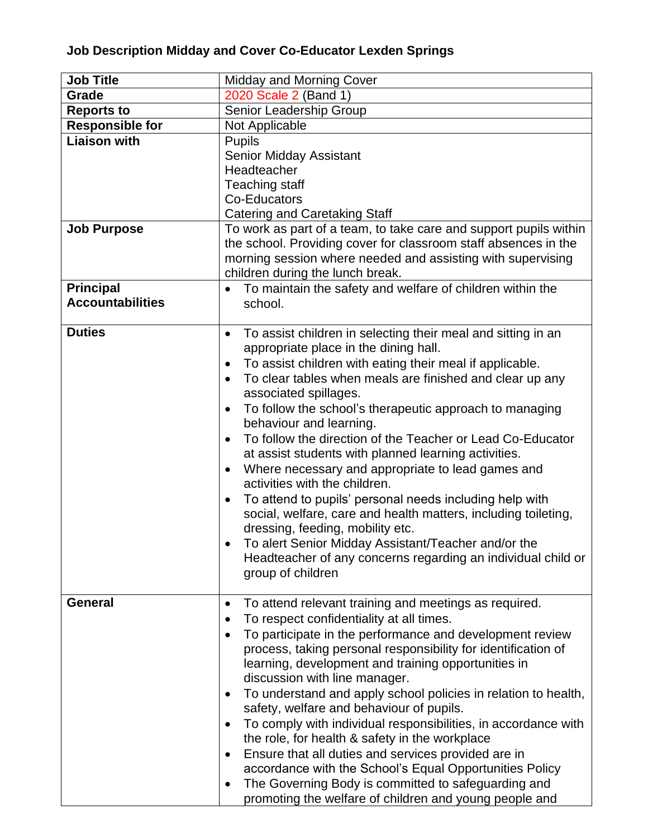## **Job Description Midday and Cover Co-Educator Lexden Springs**

| <b>Job Title</b>                            | <b>Midday and Morning Cover</b>                                                                                                                                                                                                                                                                                                                                                                                                                                                                                                                                                                                                                                                                                                                                                                                                                                                                                                                                  |  |  |
|---------------------------------------------|------------------------------------------------------------------------------------------------------------------------------------------------------------------------------------------------------------------------------------------------------------------------------------------------------------------------------------------------------------------------------------------------------------------------------------------------------------------------------------------------------------------------------------------------------------------------------------------------------------------------------------------------------------------------------------------------------------------------------------------------------------------------------------------------------------------------------------------------------------------------------------------------------------------------------------------------------------------|--|--|
| Grade                                       | 2020 Scale 2 (Band 1)                                                                                                                                                                                                                                                                                                                                                                                                                                                                                                                                                                                                                                                                                                                                                                                                                                                                                                                                            |  |  |
| <b>Reports to</b>                           | Senior Leadership Group                                                                                                                                                                                                                                                                                                                                                                                                                                                                                                                                                                                                                                                                                                                                                                                                                                                                                                                                          |  |  |
| <b>Responsible for</b>                      | Not Applicable                                                                                                                                                                                                                                                                                                                                                                                                                                                                                                                                                                                                                                                                                                                                                                                                                                                                                                                                                   |  |  |
| <b>Liaison with</b>                         | <b>Pupils</b><br><b>Senior Midday Assistant</b><br>Headteacher<br>Teaching staff<br>Co-Educators<br><b>Catering and Caretaking Staff</b>                                                                                                                                                                                                                                                                                                                                                                                                                                                                                                                                                                                                                                                                                                                                                                                                                         |  |  |
| <b>Job Purpose</b>                          | To work as part of a team, to take care and support pupils within<br>the school. Providing cover for classroom staff absences in the<br>morning session where needed and assisting with supervising<br>children during the lunch break.                                                                                                                                                                                                                                                                                                                                                                                                                                                                                                                                                                                                                                                                                                                          |  |  |
| <b>Principal</b><br><b>Accountabilities</b> | To maintain the safety and welfare of children within the<br>$\bullet$<br>school.                                                                                                                                                                                                                                                                                                                                                                                                                                                                                                                                                                                                                                                                                                                                                                                                                                                                                |  |  |
| <b>Duties</b>                               | To assist children in selecting their meal and sitting in an<br>$\bullet$<br>appropriate place in the dining hall.<br>To assist children with eating their meal if applicable.<br>$\bullet$<br>To clear tables when meals are finished and clear up any<br>$\bullet$<br>associated spillages.<br>To follow the school's therapeutic approach to managing<br>$\bullet$<br>behaviour and learning.<br>To follow the direction of the Teacher or Lead Co-Educator<br>$\bullet$<br>at assist students with planned learning activities.<br>Where necessary and appropriate to lead games and<br>$\bullet$<br>activities with the children.<br>To attend to pupils' personal needs including help with<br>$\bullet$<br>social, welfare, care and health matters, including toileting,<br>dressing, feeding, mobility etc.<br>To alert Senior Midday Assistant/Teacher and/or the<br>Headteacher of any concerns regarding an individual child or<br>group of children |  |  |
| <b>General</b>                              | To attend relevant training and meetings as required.<br>$\bullet$<br>To respect confidentiality at all times.<br>To participate in the performance and development review<br>$\bullet$<br>process, taking personal responsibility for identification of<br>learning, development and training opportunities in<br>discussion with line manager.<br>To understand and apply school policies in relation to health,<br>٠<br>safety, welfare and behaviour of pupils.<br>To comply with individual responsibilities, in accordance with<br>$\bullet$<br>the role, for health & safety in the workplace<br>Ensure that all duties and services provided are in<br>$\bullet$<br>accordance with the School's Equal Opportunities Policy<br>The Governing Body is committed to safeguarding and<br>$\bullet$<br>promoting the welfare of children and young people and                                                                                                |  |  |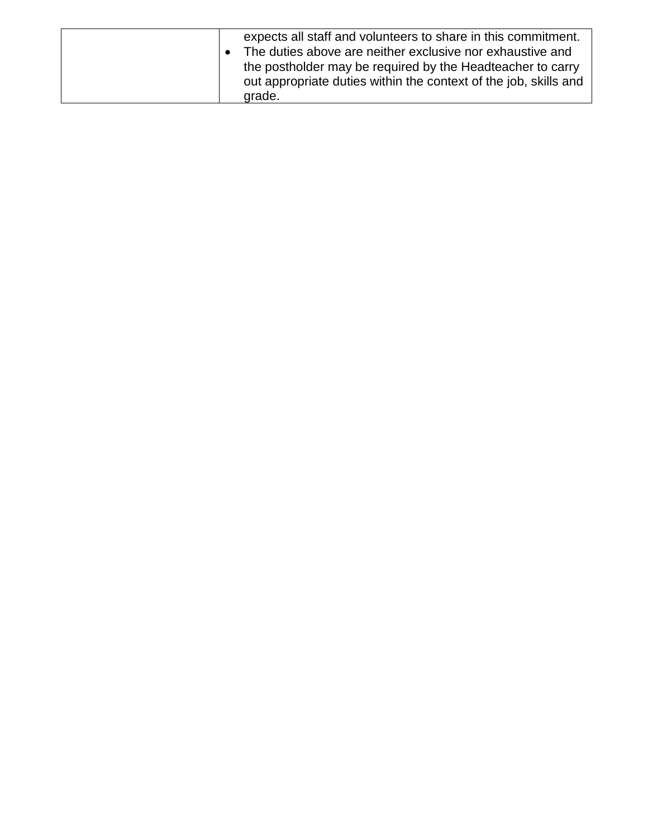|  | expects all staff and volunteers to share in this commitment.<br>The duties above are neither exclusive nor exhaustive and<br>the postholder may be required by the Headteacher to carry<br>out appropriate duties within the context of the job, skills and<br>grade. |
|--|------------------------------------------------------------------------------------------------------------------------------------------------------------------------------------------------------------------------------------------------------------------------|
|--|------------------------------------------------------------------------------------------------------------------------------------------------------------------------------------------------------------------------------------------------------------------------|